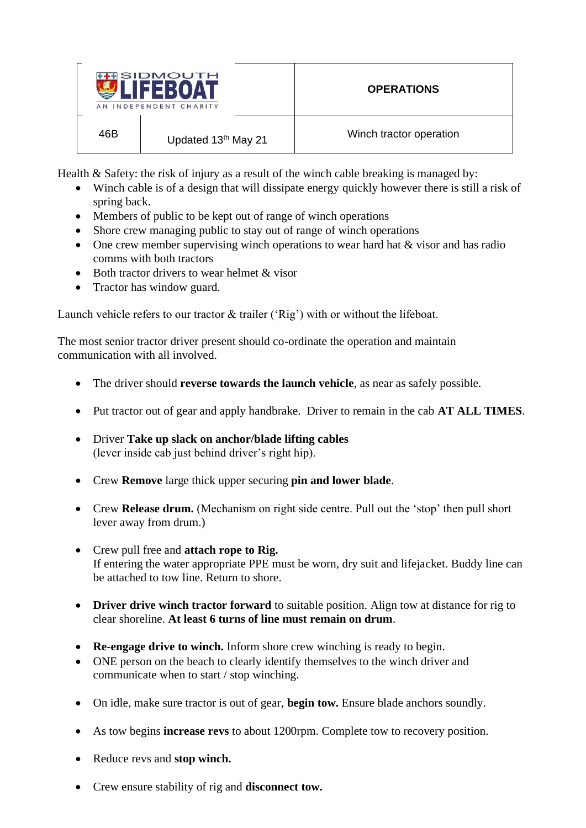

Health & Safety: the risk of injury as a result of the winch cable breaking is managed by:

- Winch cable is of a design that will dissipate energy quickly however there is still a risk of spring back.
- Members of public to be kept out of range of winch operations
- Shore crew managing public to stay out of range of winch operations
- One crew member supervising winch operations to wear hard hat & visor and has radio comms with both tractors
- Both tractor drivers to wear helmet & visor
- Tractor has window guard.

Launch vehicle refers to our tractor & trailer ('Rig') with or without the lifeboat.

The most senior tractor driver present should co-ordinate the operation and maintain communication with all involved.

- The driver should **reverse towards the launch vehicle**, as near as safely possible.
- Put tractor out of gear and apply handbrake. Driver to remain in the cab **AT ALL TIMES**.
- Driver **Take up slack on anchor/blade lifting cables**  (lever inside cab just behind driver's right hip).
- Crew **Remove** large thick upper securing **pin and lower blade**.
- Crew **Release drum.** (Mechanism on right side centre. Pull out the 'stop' then pull short lever away from drum.)
- Crew pull free and **attach rope to Rig.** If entering the water appropriate PPE must be worn, dry suit and lifejacket. Buddy line can be attached to tow line. Return to shore.
- **Driver drive winch tractor forward** to suitable position. Align tow at distance for rig to clear shoreline. **At least 6 turns of line must remain on drum**.
- **Re-engage drive to winch.** Inform shore crew winching is ready to begin.
- ONE person on the beach to clearly identify themselves to the winch driver and communicate when to start / stop winching.
- On idle, make sure tractor is out of gear, **begin tow.** Ensure blade anchors soundly.
- As tow begins **increase revs** to about 1200rpm. Complete tow to recovery position.
- Reduce revs and **stop winch.**
- Crew ensure stability of rig and **disconnect tow.**